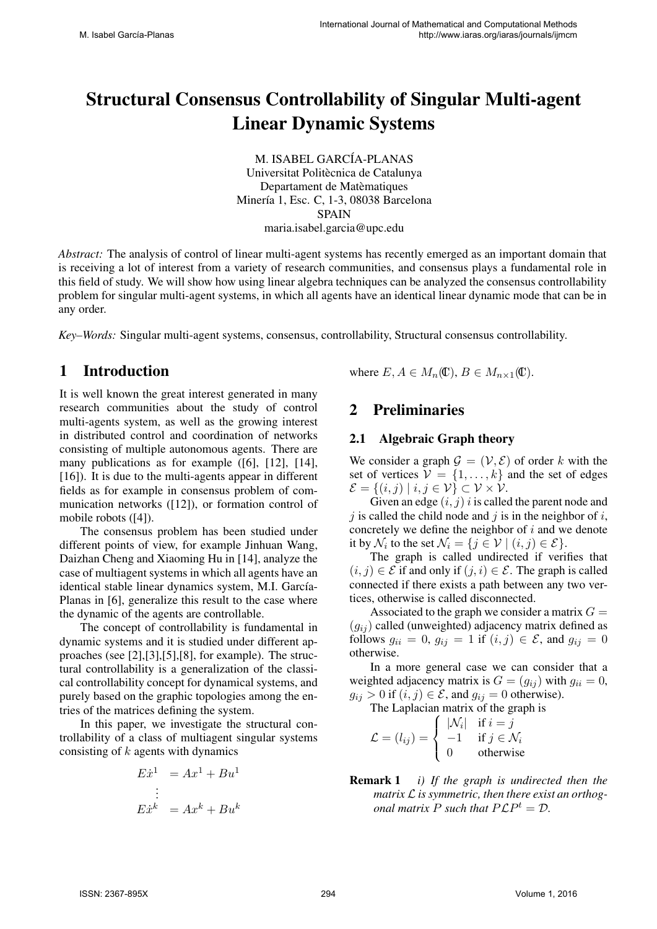# Structural Consensus Controllability of Singular Multi-agent Linear Dynamic Systems

M. ISABEL GARCÍA-PLANAS Universitat Politècnica de Catalunya Departament de Matèmatiques Minería 1, Esc. C, 1-3, 08038 Barcelona SPAIN maria.isabel.garcia@upc.edu

*Abstract:* The analysis of control of linear multi-agent systems has recently emerged as an important domain that is receiving a lot of interest from a variety of research communities, and consensus plays a fundamental role in this field of study. We will show how using linear algebra techniques can be analyzed the consensus controllability problem for singular multi-agent systems, in which all agents have an identical linear dynamic mode that can be in any order.

*Key–Words:* Singular multi-agent systems, consensus, controllability, Structural consensus controllability.

# 1 Introduction

It is well known the great interest generated in many research communities about the study of control multi-agents system, as well as the growing interest in distributed control and coordination of networks consisting of multiple autonomous agents. There are many publications as for example ([6], [12], [14], [16]). It is due to the multi-agents appear in different fields as for example in consensus problem of communication networks ([12]), or formation control of mobile robots ([4]).

The consensus problem has been studied under different points of view, for example Jinhuan Wang, Daizhan Cheng and Xiaoming Hu in [14], analyze the case of multiagent systems in which all agents have an identical stable linear dynamics system, M.I. García-Planas in [6], generalize this result to the case where the dynamic of the agents are controllable.

The concept of controllability is fundamental in dynamic systems and it is studied under different approaches (see [2],[3],[5],[8], for example). The structural controllability is a generalization of the classical controllability concept for dynamical systems, and purely based on the graphic topologies among the entries of the matrices defining the system.

In this paper, we investigate the structural controllability of a class of multiagent singular systems consisting of  $k$  agents with dynamics

$$
E\dot{x}^{1} = Ax^{1} + Bu^{1}
$$

$$
\vdots
$$

$$
E\dot{x}^{k} = Ax^{k} + Bu^{k}
$$

where  $E, A \in M_n(\mathbb{C}), B \in M_{n \times 1}(\mathbb{C}).$ 

# 2 Preliminaries

### 2.1 Algebraic Graph theory

We consider a graph  $\mathcal{G} = (\mathcal{V}, \mathcal{E})$  of order k with the set of vertices  $V = \{1, \ldots, k\}$  and the set of edges  $\mathcal{E} = \{(i, j) \mid i, j \in \mathcal{V}\}\subset \mathcal{V} \times \mathcal{V}.$ 

Given an edge  $(i, j)$  i is called the parent node and  $j$  is called the child node and  $j$  is in the neighbor of  $i$ , concretely we define the neighbor of  $i$  and we denote it by  $\mathcal{N}_i$  to the set  $\mathcal{N}_i = \{j \in \mathcal{V} \mid (i,j) \in \mathcal{E}\}.$ 

The graph is called undirected if verifies that  $(i, j) \in \mathcal{E}$  if and only if  $(j, i) \in \mathcal{E}$ . The graph is called connected if there exists a path between any two vertices, otherwise is called disconnected.

Associated to the graph we consider a matrix  $G =$  $(g_{ii})$  called (unweighted) adjacency matrix defined as follows  $g_{ii} = 0$ ,  $g_{ij} = 1$  if  $(i, j) \in \mathcal{E}$ , and  $g_{ij} = 0$ otherwise.

In a more general case we can consider that a weighted adjacency matrix is  $G = (g_{ij})$  with  $g_{ii} = 0$ ,  $g_{ij} > 0$  if  $(i, j) \in \mathcal{E}$ , and  $g_{ij} = 0$  otherwise).

The Laplacian matrix of the graph is

$$
\mathcal{L} = (l_{ij}) = \begin{cases} |\mathcal{N}_i| & \text{if } i = j \\ -1 & \text{if } j \in \mathcal{N}_i \\ 0 & \text{otherwise} \end{cases}
$$

Remark 1 *i) If the graph is undirected then the matrix* L *is symmetric, then there exist an orthogonal matrix*  $P$  *such that*  $P\mathcal{L}P^t = \mathcal{D}$ *.*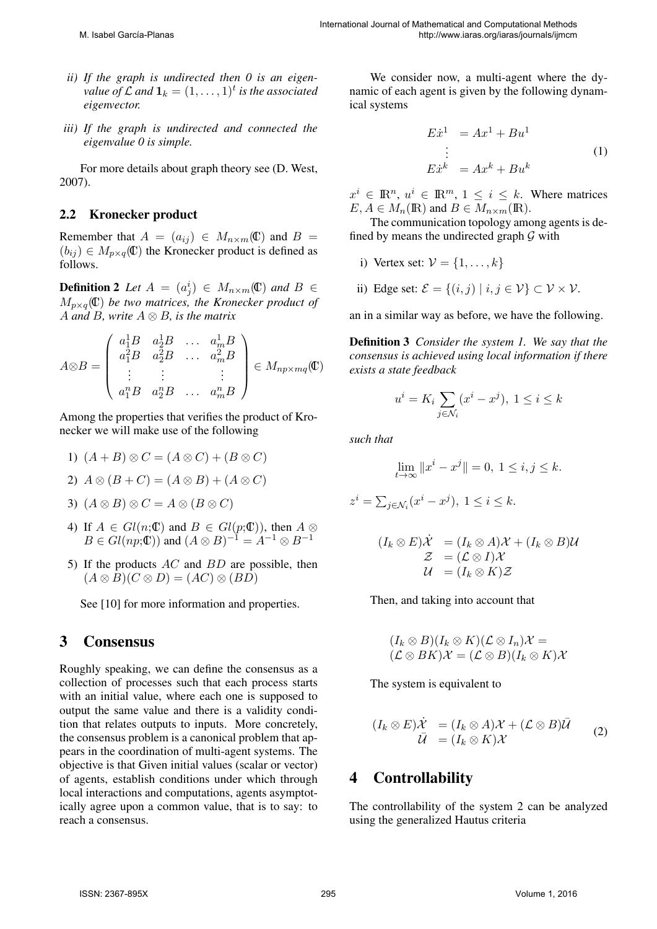- *ii) If the graph is undirected then 0 is an eigen*value of  ${\mathcal L}$  and  ${\mathbf 1}_k = (1,\ldots,1)^t$  is the associated *eigenvector.*
- *iii) If the graph is undirected and connected the eigenvalue 0 is simple.*

For more details about graph theory see (D. West, 2007).

### 2.2 Kronecker product

Remember that  $A = (a_{ij}) \in M_{n \times m}(\mathbb{C})$  and  $B =$  $(b_{ij}) \in M_{p \times q}(\mathbb{C})$  the Kronecker product is defined as follows.

**Definition 2** Let  $A = (a_j^i) \in M_{n \times m}(\mathbb{C})$  and  $B \in$  $M_{n\times q}(\mathbb{C})$  *be two matrices, the Kronecker product of* A *and* B*, write* A ⊗ B*, is the matrix*

$$
A \otimes B = \begin{pmatrix} a_1^1 B & a_2^1 B & \dots & a_m^1 B \\ a_1^2 B & a_2^2 B & \dots & a_m^2 B \\ \vdots & \vdots & & \vdots \\ a_1^n B & a_2^n B & \dots & a_m^n B \end{pmatrix} \in M_{np \times mq}(\mathbb{C})
$$

Among the properties that verifies the product of Kronecker we will make use of the following

1)  $(A + B) \otimes C = (A \otimes C) + (B \otimes C)$ 

2) 
$$
A \otimes (B + C) = (A \otimes B) + (A \otimes C)
$$

- 3)  $(A \otimes B) \otimes C = A \otimes (B \otimes C)$
- 4) If  $A \in Gl(n;\mathbb{C})$  and  $B \in Gl(p;\mathbb{C})$ , then  $A \otimes$  $B \in Gl(np;\mathbb{C})$  and  $(A \otimes B)^{-1} = A^{-1} \otimes B^{-1}$
- 5) If the products  $AC$  and  $BD$  are possible, then  $(A \otimes B)(C \otimes D) = (AC) \otimes (BD)$

See [10] for more information and properties.

### 3 Consensus

Roughly speaking, we can define the consensus as a collection of processes such that each process starts with an initial value, where each one is supposed to output the same value and there is a validity condition that relates outputs to inputs. More concretely, the consensus problem is a canonical problem that appears in the coordination of multi-agent systems. The objective is that Given initial values (scalar or vector) of agents, establish conditions under which through local interactions and computations, agents asymptotically agree upon a common value, that is to say: to reach a consensus.

We consider now, a multi-agent where the dynamic of each agent is given by the following dynamical systems

$$
E\dot{x}^{1} = Ax^{1} + Bu^{1}
$$
  
\n:  
\n
$$
E\dot{x}^{k} = Ax^{k} + Bu^{k}
$$
 (1)

 $x^i \in \mathbb{R}^n$ ,  $u^i \in \mathbb{R}^m$ ,  $1 \le i \le k$ . Where matrices  $E, A \in M_n(\mathbb{R})$  and  $B \in M_{n \times m}(\mathbb{R})$ .

The communication topology among agents is defined by means the undirected graph  $G$  with

- i) Vertex set:  $V = \{1, \ldots, k\}$
- ii) Edge set:  $\mathcal{E} = \{(i, j) | i, j \in \mathcal{V}\} \subset \mathcal{V} \times \mathcal{V}$ .

an in a similar way as before, we have the following.

Definition 3 *Consider the system 1. We say that the consensus is achieved using local information if there exists a state feedback*

$$
u^i = K_i \sum_{j \in \mathcal{N}_i} (x^i - x^j), \ 1 \le i \le k
$$

*such that*

$$
\lim_{t \to \infty} \|x^i - x^j\| = 0, \ 1 \le i, j \le k.
$$

$$
z^i = \sum_{j \in \mathcal{N}_i} (x^i - x^j), \ 1 \le i \le k.
$$

$$
(I_k \otimes E)\dot{\mathcal{X}} = (I_k \otimes A)\mathcal{X} + (I_k \otimes B)\mathcal{U}
$$
  
\n
$$
\mathcal{Z} = (\mathcal{L} \otimes I)\mathcal{X}
$$
  
\n
$$
\mathcal{U} = (I_k \otimes K)\mathcal{Z}
$$

Then, and taking into account that

$$
(I_k \otimes B)(I_k \otimes K)(\mathcal{L} \otimes I_n)\mathcal{X} =
$$
  

$$
(\mathcal{L} \otimes BK)\mathcal{X} = (\mathcal{L} \otimes B)(I_k \otimes K)\mathcal{X}
$$

The system is equivalent to

$$
(I_k \otimes E)\dot{\mathcal{X}} = (I_k \otimes A)\mathcal{X} + (\mathcal{L} \otimes B)\bar{\mathcal{U}}
$$
  

$$
\bar{\mathcal{U}} = (I_k \otimes K)\mathcal{X}
$$
 (2)

### 4 Controllability

The controllability of the system 2 can be analyzed using the generalized Hautus criteria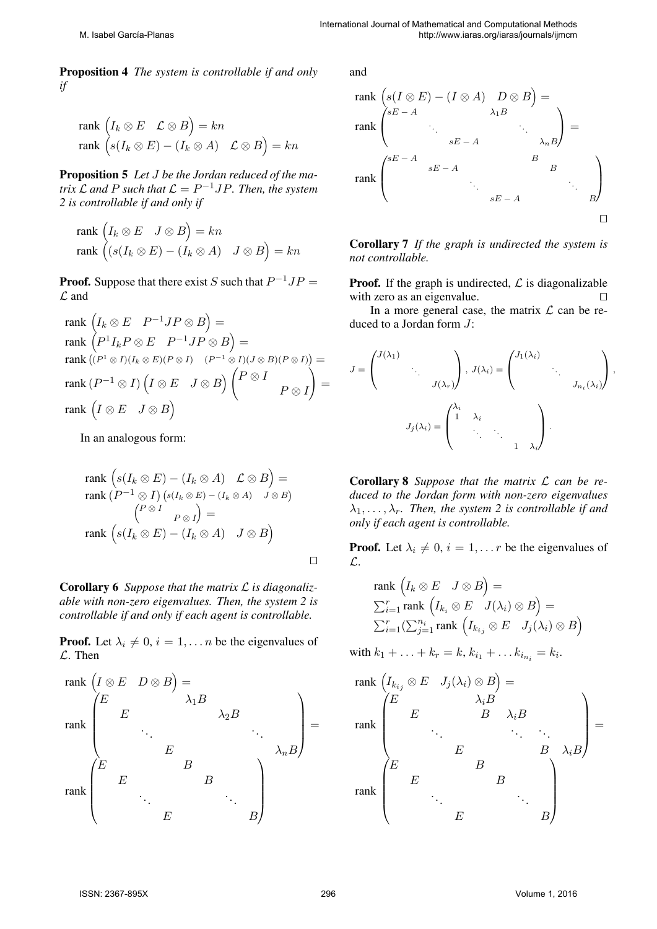Proposition 4 *The system is controllable if and only if*

$$
\begin{aligned}\n\text{rank}\,\left(I_k \otimes E \quad \mathcal{L} \otimes B\right) &= kn \\
\text{rank}\,\left(s(I_k \otimes E) - (I_k \otimes A) \quad \mathcal{L} \otimes B\right) &= kn\n\end{aligned}
$$

Proposition 5 *Let* J *be the Jordan reduced of the matrix*  $\mathcal L$  and  $P$  *such that*  $\mathcal L = P^{-1}JP$ *. Then, the system 2 is controllable if and only if*

$$
\begin{aligned}\n\text{rank}\,\left(I_k \otimes E \quad J \otimes B\right) &= kn \\
\text{rank}\,\left((s(I_k \otimes E) - (I_k \otimes A) \quad J \otimes B\right) &= kn\n\end{aligned}
$$

**Proof.** Suppose that there exist S such that  $P^{-1}JP =$  $\mathcal L$  and

rank 
$$
(I_k \otimes E \quad P^{-1}JP \otimes B)
$$
 =  
\nrank  $(P^1I_kP \otimes E \quad P^{-1}JP \otimes B)$  =  
\nrank  $((P^1 \otimes I)(I_k \otimes E)(P \otimes I) \quad (P^{-1} \otimes I)(J \otimes B)(P \otimes I))$  =  
\nrank  $(P^{-1} \otimes I) (I \otimes E \quad J \otimes B) \begin{pmatrix} P \otimes I \\ & P \otimes I \end{pmatrix}$  =  
\nrank  $(I \otimes E \quad J \otimes B)$ 

In an analogous form:

rank 
$$
(s(I_k \otimes E) - (I_k \otimes A) \mathcal{L} \otimes B)
$$
 =  
\nrank  $(P^{-1} \otimes I) (s(I_k \otimes E) - (I_k \otimes A) \mathcal{J} \otimes B)$   
\n $\begin{pmatrix} P \otimes I \\ P \otimes I \end{pmatrix} =$   
\nrank  $(s(I_k \otimes E) - (I_k \otimes A) \mathcal{J} \otimes B)$ 

 $\Box$ 

Corollary 6 *Suppose that the matrix* L *is diagonalizable with non-zero eigenvalues. Then, the system 2 is controllable if and only if each agent is controllable.*

**Proof.** Let  $\lambda_i \neq 0$ ,  $i = 1, \dots n$  be the eigenvalues of  $\mathcal{L}$ . Then

rank 
$$
(I \otimes E \quad D \otimes B)
$$
 =  
\nrank  $\begin{pmatrix} E & \lambda_1 B \\ E & \lambda_2 B \\ \vdots & \vdots \\ E & B \\ \hline \vdots & \vdots \\ E & \lambda_n B \end{pmatrix}$  =  
\nrank  $\begin{pmatrix} E & B \\ E & \vdots \\ \vdots & \vdots \\ E & \lambda_n B \end{pmatrix}$  =

and

$$
\operatorname{rank}\begin{pmatrix} s(I \otimes E) - (I \otimes A) & D \otimes B \end{pmatrix} =
$$
\n
$$
\operatorname{rank}\begin{pmatrix} sE - A & & & \\ & \ddots & & \\ & & sE - A & & B \\ & & & B & \\ & & & \ddots & \\ & & & & B & \\ & & & & & B \end{pmatrix} =
$$
\n
$$
\operatorname{rank}\begin{pmatrix} sE - A & & & B & \\ & \ddots & & & \\ & & & & B & \\ & & & & & B \end{pmatrix}
$$

Corollary 7 *If the graph is undirected the system is not controllable.*

**Proof.** If the graph is undirected,  $\mathcal{L}$  is diagonalizable with zero as an eigenvalue.  $\Box$ 

In a more general case, the matrix  $\mathcal L$  can be reduced to a Jordan form J:

$$
J = \begin{pmatrix} J(\lambda_1) & & \\ & \ddots & \\ & & J(\lambda_r) \end{pmatrix}, J(\lambda_i) = \begin{pmatrix} J_1(\lambda_i) & & \\ & \ddots & \\ & & J_{n_i}(\lambda_i) \end{pmatrix},
$$

$$
J_j(\lambda_i) = \begin{pmatrix} \lambda_i & & & \\ 1 & \lambda_i & & \\ & \ddots & & \\ & & 1 & \lambda_i \end{pmatrix}.
$$

Corollary 8 *Suppose that the matrix* L *can be reduced to the Jordan form with non-zero eigenvalues*  $\lambda_1, \ldots, \lambda_r$ . Then, the system 2 is controllable if and *only if each agent is controllable.*

**Proof.** Let  $\lambda_i \neq 0$ ,  $i = 1, \ldots r$  be the eigenvalues of  $\mathcal{L}$ .

rank 
$$
(I_k \otimes E \quad J \otimes B)
$$
 =  
\n $\sum_{i=1}^r \text{rank} (I_{k_i} \otimes E \quad J(\lambda_i) \otimes B)$  =  
\n $\sum_{i=1}^r (\sum_{j=1}^{n_i} \text{rank} (I_{k_{ij}} \otimes E \quad J_j(\lambda_i) \otimes B)$ 

with  $k_1 + \ldots + k_r = k, k_{i_1} + \ldots k_{i_{n_i}} = k_i$ .

$$
\operatorname{rank}\begin{pmatrix}I_{k_{i j}}\otimes E & J_{j}(\lambda_{i})\otimes B\end{pmatrix}=\operatorname{rank}\begin{pmatrix}E & & & & & \\ & E & & \lambda_{i}B & & \\ & E & & B & \lambda_{i}B & \\ & \ddots & & \ddots & \ddots & \\ & & E & & B & \lambda_{i}B\end{pmatrix}=\operatorname{rank}\begin{pmatrix}E & & & & & \\ & E & & & & \\ & E & & & & \\ & & \ddots & & \ddots & \\ & & & E & & & B\end{pmatrix}
$$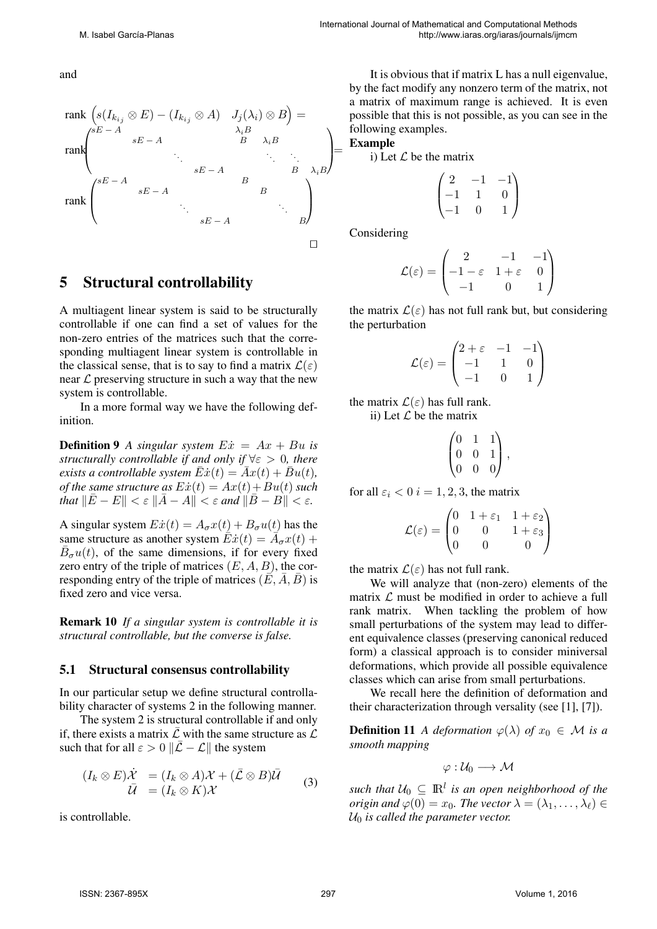and



# 5 Structural controllability

A multiagent linear system is said to be structurally controllable if one can find a set of values for the non-zero entries of the matrices such that the corresponding multiagent linear system is controllable in the classical sense, that is to say to find a matrix  $\mathcal{L}(\varepsilon)$ near  $\mathcal L$  preserving structure in such a way that the new system is controllable.

In a more formal way we have the following definition.

**Definition 9** A singular system  $E\dot{x} = Ax + Bu$  is *structurally controllable if and only if* ∀ε > 0*, there exists a controllable system*  $\overline{E}\dot{x}(t) = \overline{A}x(t) + \overline{B}u(t)$ , *of the same structure as*  $E\dot{x}(t) = Ax(t) + Bu(t)$  *such that*  $\|\overline{E} - E\| < \varepsilon \|\overline{A} - A\| < \varepsilon$  *and*  $\|\overline{B} - B\| < \varepsilon$ *.* 

A singular system  $E\dot{x}(t) = A_{\sigma}x(t) + B_{\sigma}u(t)$  has the same structure as another system  $\vec{E}\dot{x}(t) = \vec{A}_{\sigma}x(t) +$  $\bar{B}_{\sigma}u(t)$ , of the same dimensions, if for every fixed zero entry of the triple of matrices  $(E, A, B)$ , the corresponding entry of the triple of matrices  $(\bar{E}, \bar{A}, \bar{B})$  is fixed zero and vice versa.

Remark 10 *If a singular system is controllable it is structural controllable, but the converse is false.*

#### 5.1 Structural consensus controllability

In our particular setup we define structural controllability character of systems 2 in the following manner.

The system 2 is structural controllable if and only if, there exists a matrix  $\mathcal L$  with the same structure as  $\mathcal L$ such that for all  $\varepsilon > 0$   $\|\bar{\mathcal{L}} - \mathcal{L}\|$  the system

$$
(I_k \otimes E)\dot{\mathcal{X}} = (I_k \otimes A)\mathcal{X} + (\bar{\mathcal{L}} \otimes B)\bar{\mathcal{U}}
$$
  

$$
\bar{\mathcal{U}} = (I_k \otimes K)\mathcal{X}
$$
 (3)

is controllable.

It is obvious that if matrix L has a null eigenvalue, by the fact modify any nonzero term of the matrix, not a matrix of maximum range is achieved. It is even possible that this is not possible, as you can see in the following examples.

#### Example

i) Let  $\mathcal L$  be the matrix

$$
\begin{pmatrix} 2 & -1 & -1 \\ -1 & 1 & 0 \\ -1 & 0 & 1 \end{pmatrix}
$$

Considering

$$
\mathcal{L}(\varepsilon) = \begin{pmatrix} 2 & -1 & -1 \\ -1 - \varepsilon & 1 + \varepsilon & 0 \\ -1 & 0 & 1 \end{pmatrix}
$$

the matrix  $\mathcal{L}(\varepsilon)$  has not full rank but, but considering the perturbation

$$
\mathcal{L}(\varepsilon) = \begin{pmatrix} 2 + \varepsilon & -1 & -1 \\ -1 & 1 & 0 \\ -1 & 0 & 1 \end{pmatrix}
$$

the matrix  $\mathcal{L}(\varepsilon)$  has full rank.

ii) Let  $\mathcal L$  be the matrix

$$
\begin{pmatrix} 0 & 1 & 1 \\ 0 & 0 & 1 \\ 0 & 0 & 0 \end{pmatrix},
$$

for all  $\varepsilon_i < 0$  i = 1, 2, 3, the matrix

$$
\mathcal{L}(\varepsilon) = \begin{pmatrix} 0 & 1 + \varepsilon_1 & 1 + \varepsilon_2 \\ 0 & 0 & 1 + \varepsilon_3 \\ 0 & 0 & 0 \end{pmatrix}
$$

the matrix  $\mathcal{L}(\varepsilon)$  has not full rank.

We will analyze that (non-zero) elements of the matrix  $\mathcal L$  must be modified in order to achieve a full rank matrix. When tackling the problem of how small perturbations of the system may lead to different equivalence classes (preserving canonical reduced form) a classical approach is to consider miniversal deformations, which provide all possible equivalence classes which can arise from small perturbations.

We recall here the definition of deformation and their characterization through versality (see [1], [7]).

**Definition 11** *A deformation*  $\varphi(\lambda)$  *of*  $x_0 \in M$  *is a smooth mapping*

 $\varphi: \mathcal{U}_0 \longrightarrow \mathcal{M}$ 

such that  $\mathcal{U}_0 \subseteq \mathbb{R}^l$  is an open neighborhood of the *origin and*  $\varphi(0) = x_0$ *. The vector*  $\lambda = (\lambda_1, \dots, \lambda_\ell) \in$  $U_0$  *is called the parameter vector.*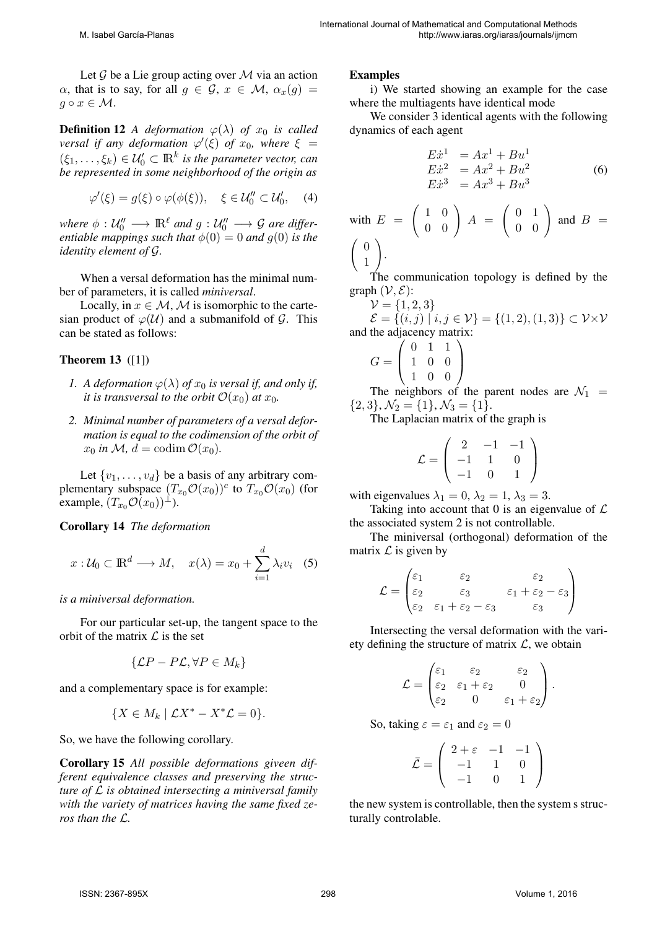Let  $G$  be a Lie group acting over  $M$  via an action  $\alpha$ , that is to say, for all  $g \in \mathcal{G}$ ,  $x \in \mathcal{M}$ ,  $\alpha_x(g)$  $g \circ x \in \mathcal{M}.$ 

**Definition 12** *A deformation*  $\varphi(\lambda)$  *of*  $x_0$  *is called versal if any deformation*  $\varphi'(\xi)$  *of*  $x_0$ *, where*  $\xi =$  $(\xi_1,\ldots,\xi_k) \in \mathcal{U}_0' \subset \mathbb{R}^k$  is the parameter vector, can *be represented in some neighborhood of the origin as*

$$
\varphi'(\xi) = g(\xi) \circ \varphi(\phi(\xi)), \quad \xi \in \mathcal{U}_0'' \subset \mathcal{U}_0', \quad (4)
$$

where  $\phi: \mathcal{U}_0^{\prime\prime} \longrightarrow \mathrm{I\!R}^\ell$  and  $g: \mathcal{U}_0^{\prime\prime} \longrightarrow \mathcal{G}$  are differ*entiable mappings such that*  $\phi(0) = 0$  *and*  $q(0)$  *is the identity element of* G*.*

When a versal deformation has the minimal number of parameters, it is called *miniversal*.

Locally, in  $x \in M$ , M is isomorphic to the cartesian product of  $\varphi(\mathcal{U})$  and a submanifold of  $\mathcal{G}$ . This can be stated as follows:

### **Theorem 13** ([1])

- *1.* A deformation  $\varphi(\lambda)$  of  $x_0$  is versal if, and only if, *it is transversal to the orbit*  $\mathcal{O}(x_0)$  *at*  $x_0$ *.*
- *2. Minimal number of parameters of a versal deformation is equal to the codimension of the orbit of*  $x_0$  *in*  $\mathcal{M}, d = \text{codim } \mathcal{O}(x_0)$ *.*

Let  $\{v_1, \ldots, v_d\}$  be a basis of any arbitrary complementary subspace  $(T_{x_0}\mathcal{O}(x_0))^c$  to  $T_{x_0}\mathcal{O}(x_0)$  (for example,  $(T_{x_0}\mathcal{O}(x_0))^{\perp}$ ).

Corollary 14 *The deformation*

$$
x: \mathcal{U}_0 \subset \mathbb{R}^d \longrightarrow M, \quad x(\lambda) = x_0 + \sum_{i=1}^d \lambda_i v_i \quad (5)
$$

*is a miniversal deformation.*

For our particular set-up, the tangent space to the orbit of the matrix  $\mathcal L$  is the set

$$
\{\mathcal{L}P - P\mathcal{L}, \forall P \in M_k\}
$$

and a complementary space is for example:

$$
\{X \in M_k \mid \mathcal{L}X^* - X^*\mathcal{L} = 0\}.
$$

So, we have the following corollary.

Corollary 15 *All possible deformations giveen different equivalence classes and preserving the structure of* L *is obtained intersecting a miniversal family with the variety of matrices having the same fixed zeros than the* L*.*

#### Examples

i) We started showing an example for the case where the multiagents have identical mode

We consider 3 identical agents with the following dynamics of each agent

$$
E\dot{x}^1 = Ax^1 + Bu^1
$$
  
\n
$$
E\dot{x}^2 = Ax^2 + Bu^2
$$
  
\n
$$
E\dot{x}^3 = Ax^3 + Bu^3
$$
\n(6)

with 
$$
E = \begin{pmatrix} 1 & 0 \\ 0 & 0 \end{pmatrix}
$$
  $A = \begin{pmatrix} 0 & 1 \\ 0 & 0 \end{pmatrix}$  and  $B = \begin{pmatrix} 0 \\ 1 \end{pmatrix}$ .

The communication topology is defined by the graph  $(\mathcal{V}, \mathcal{E})$ :

 $\mathcal{V} = \{1, 2, 3\}$  $\mathcal{E} = \{(i, j) | i, j \in \mathcal{V}\} = \{(1, 2), (1, 3)\} \subset \mathcal{V} \times \mathcal{V}$ and the adjacency matrix:

$$
G = \left(\begin{array}{rrr} 0 & 1 & 1 \\ 1 & 0 & 0 \\ 1 & 0 & 0 \end{array}\right)
$$

The neighbors of the parent nodes are  $\mathcal{N}_1$  =  $\{2, 3\}, \mathcal{N}_2 = \{1\}, \mathcal{N}_3 = \{1\}.$ 

The Laplacian matrix of the graph is

$$
\mathcal{L} = \left( \begin{array}{rrr} 2 & -1 & -1 \\ -1 & 1 & 0 \\ -1 & 0 & 1 \end{array} \right)
$$

with eigenvalues  $\lambda_1 = 0$ ,  $\lambda_2 = 1$ ,  $\lambda_3 = 3$ .

Taking into account that 0 is an eigenvalue of  $\mathcal L$ the associated system 2 is not controllable.

The miniversal (orthogonal) deformation of the matrix  $\mathcal L$  is given by

$$
\mathcal{L} = \begin{pmatrix} \varepsilon_1 & \varepsilon_2 & \varepsilon_2 \\ \varepsilon_2 & \varepsilon_3 & \varepsilon_1 + \varepsilon_2 - \varepsilon_3 \\ \varepsilon_2 & \varepsilon_1 + \varepsilon_2 - \varepsilon_3 & \varepsilon_3 \end{pmatrix}
$$

Intersecting the versal deformation with the variety defining the structure of matrix  $\mathcal{L}$ , we obtain

$$
\mathcal{L} = \begin{pmatrix} \varepsilon_1 & \varepsilon_2 & \varepsilon_2 \\ \varepsilon_2 & \varepsilon_1 + \varepsilon_2 & 0 \\ \varepsilon_2 & 0 & \varepsilon_1 + \varepsilon_2 \end{pmatrix}.
$$

So, taking  $\varepsilon = \varepsilon_1$  and  $\varepsilon_2 = 0$ 

$$
\bar{\mathcal{L}} = \left(\begin{array}{ccc} 2+\varepsilon & -1 & -1 \\ -1 & 1 & 0 \\ -1 & 0 & 1 \end{array}\right)
$$

the new system is controllable, then the system s structurally controlable.